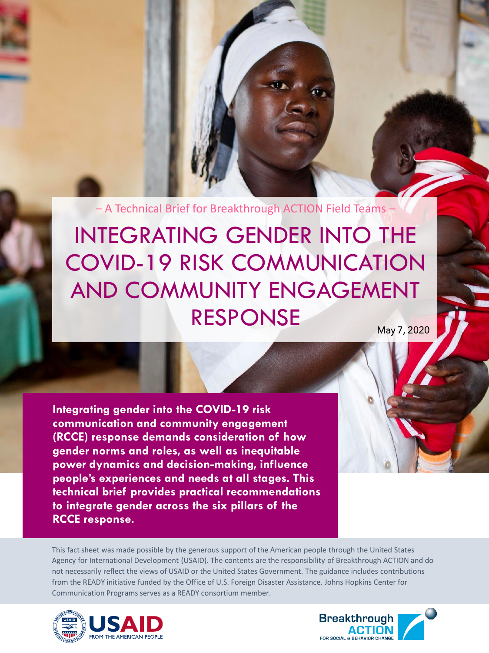– A Technical Brief for Breakthrough ACTION Field Teams –

INTEGRATING GENDER INTO THE COVID-19 RISK COMMUNICATION AND COMMUNITY ENGAGEMENT RESPONSE

**Integrating gender into the COVID-19 risk communication and community engagement (RCCE) response demands consideration of how gender norms and roles, as well as inequitable power dynamics and decision-making, influence people's experiences and needs at all stages. This technical brief provides practical recommendations to integrate gender across the six pillars of the RCCE response.**

This fact sheet was made possible by the generous support of the American people through the United States Agency for International Development (USAID). The contents are the responsibility of Breakthrough ACTION and do not necessarily reflect the views of USAID or the United States Government. The guidance includes contributions from the READY initiative funded by the Office of U.S. Foreign Disaster Assistance. Johns Hopkins Center for Communication Programs serves as a READY consortium member.



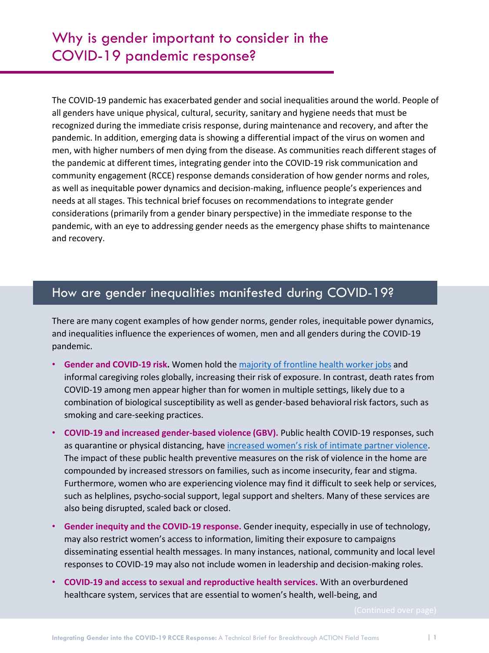The COVID-19 pandemic has exacerbated gender and social inequalities around the world. People of all genders have unique physical, cultural, security, sanitary and hygiene needs that must be recognized during the immediate crisis response, during maintenance and recovery, and after the pandemic. In addition, emerging data is showing a differential impact of the virus on women and men, with higher numbers of men dying from the disease. As communities reach different stages of the pandemic at different times, integrating gender into the COVID-19 risk communication and community engagement (RCCE) response demands consideration of how gender norms and roles, as well as inequitable power dynamics and decision-making, influence people's experiences and needs at all stages. This technical brief focuses on recommendations to integrate gender considerations (primarily from a gender binary perspective) in the immediate response to the pandemic, with an eye to addressing gender needs as the emergency phase shifts to maintenance and recovery.

### How are gender inequalities manifested during COVID-19?

There are many cogent examples of how gender norms, gender roles, inequitable power dynamics, and inequalities influence the experiences of women, men and all genders during the COVID-19 pandemic.

- **Gender and COVID-19 risk.** Women hold the majority of [frontline health worker jobs](https://data.unwomen.org/resources/covid-19-emerging-gender-data-and-why-it-matters) and informal caregiving roles globally, increasing their risk of exposure. In contrast, death rates from COVID-19 among men appear higher than for women in multiple settings, likely due to a combination of biological susceptibility as well as gender-based behavioral risk factors, such as smoking and care-seeking practices.
- **COVID-19 and increased gender-based violence (GBV).** Public health COVID-19 responses, such as quarantine or physical distancing, have [increased women's risk of intimate partner violence](https://www.unwomen.org/en/digital-library/multimedia/2020/4/infographic-covid19-violence-against-women-and-girls). The impact of these public health preventive measures on the risk of violence in the home are compounded by increased stressors on families, such as income insecurity, fear and stigma. Furthermore, women who are experiencing violence may find it difficult to seek help or services, such as helplines, psycho-social support, legal support and shelters. Many of these services are also being disrupted, scaled back or closed.
- **Gender inequity and the COVID-19 response.** Gender inequity, especially in use of technology, may also restrict women's access to information, limiting their exposure to campaigns disseminating essential health messages. In many instances, national, community and local level responses to COVID-19 may also not include women in leadership and decision-making roles.
- **COVID-19 and access to sexual and reproductive health services.** With an overburdened healthcare system, services that are essential to women's health, well-being, and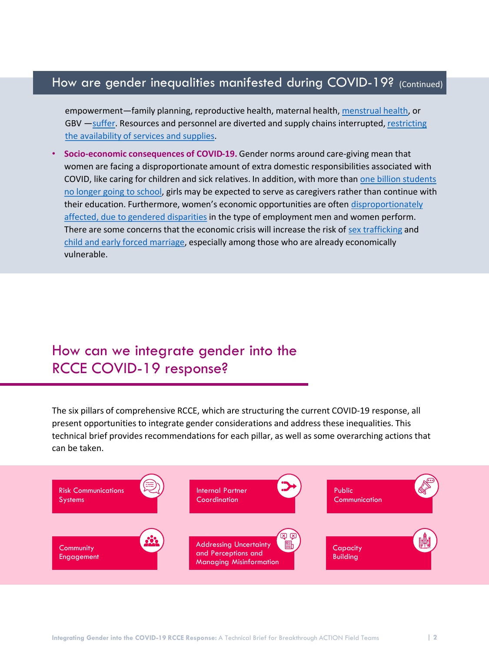## How are gender inequalities manifested during COVID-19? (Continued)

empowerment—family planning, reproductive health, maternal health, [menstrual health,](https://menstrualhygieneday.org/wp-content/uploads/2020/04/DaysForGirls_Period-Pandemic.pdf) or GBV -[suffer](https://www.thelancet.com/journals/lancet/article/PIIS0140-6736(20)30801-1/fulltext)[. Resources and personnel are diverted](https://unfoundation.org/blog/post/addressing-sexual-and-reproductive-health-and-rights-in-the-covid-19-pandemic/) and supply chains interrupted, restricting the availability of services and supplies.

• **Socio-economic consequences of COVID-19.** Gender norms around care-giving mean that women are facing a disproportionate amount of extra domestic responsibilities associated with COVID, like caring for children and sick relatives. In addition, with more than one billion students [no longer going to school, girls may be expected to serve as caregivers rather than continue with](https://data.unwomen.org/resources/covid-19-emerging-gender-data-and-why-it-matters) [their education. Furthermore, women's economic opportunities are often](https://www.afdb.org/fileadmin/uploads/afdb/Documents/Generic-Documents/AfDB_Women_s_Resilience_-_Integrating_Gender_in_the_Response_to_Ebola.pdf) disproportionately affected, due to gendered disparities in the type of employment men and women perform. There are some concerns that the economic crisis will increase the risk of [sex trafficking](https://polarisproject.org/blog/2020/04/covid-19-may-increase-human-trafficking-in-vulnerable-communities/) and [child and early forced marriage,](https://www.girlsnotbrides.org/wp-content/uploads/2020/04/COVID-19-and-child-early-and-forced-marriage_FINAL.pdf) especially among those who are already economically vulnerable.

# How can we integrate gender into the RCCE COVID-19 response?

The six pillars of comprehensive RCCE, which are structuring the current COVID-19 response, all present opportunities to integrate gender considerations and address these inequalities. This technical brief provides recommendations for each pillar, as well as some overarching actions that can be taken.

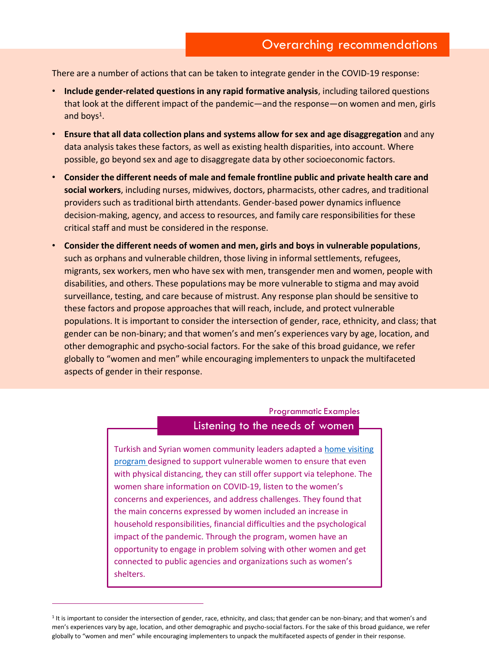There are a number of actions that can be taken to integrate gender in the COVID-19 response:

- **Include gender-related questions in any rapid formative analysis**, including tailored questions that look at the different impact of the pandemic—and the response—on women and men, girls and boys<sup>1</sup>.
- **Ensure that all data collection plans and systems allow for sex and age disaggregation** and any data analysis takes these factors, as well as existing health disparities, into account. Where possible, go beyond sex and age to disaggregate data by other socioeconomic factors.
- **Consider the different needs of male and female frontline public and private health care and social workers**, including nurses, midwives, doctors, pharmacists, other cadres, and traditional providers such as traditional birth attendants. Gender-based power dynamics influence decision-making, agency, and access to resources, and family care responsibilities for these critical staff and must be considered in the response.
- **Consider the different needs of women and men, girls and boys in vulnerable populations**, such as orphans and vulnerable children, those living in informal settlements, refugees, migrants, sex workers, men who have sex with men, transgender men and women, people with disabilities, and others. These populations may be more vulnerable to stigma and may avoid surveillance, testing, and care because of mistrust. Any response plan should be sensitive to these factors and propose approaches that will reach, include, and protect vulnerable populations. It is important to consider the intersection of gender, race, ethnicity, and class; that gender can be non-binary; and that women's and men's experiences vary by age, location, and other demographic and psycho-social factors. For the sake of this broad guidance, we refer globally to "women and men" while encouraging implementers to unpack the multifaceted aspects of gender in their response.

#### Programmatic Examples

#### Listening to the needs of women

[Turkish and Syrian women community leaders adapted a home visiting](https://eca.unwomen.org/en/news/stories/2020/6/turkish-and-syrian-women-manifest-solidarity)  program designed to support vulnerable women to ensure that even with physical distancing, they can still offer support via telephone. The women share information on COVID‐19, listen to the women's concerns and experiences, and address challenges. They found that the main concerns expressed by women included an increase in household responsibilities, financial difficulties and the psychological impact of the pandemic. Through the program, women have an opportunity to engage in problem solving with other women and get connected to public agencies and organizations such as women's shelters.

globally to "women and men" while encouraging implementers to unpack the multifaceted aspects of gender in their response. <sup>1</sup> It is important to consider the intersection of gender, race, ethnicity, and class; that gender can be non-binary; and that women's and men's experiences vary by age, location, and other demographic and psycho-social factors. For the sake of this broad guidance, we refer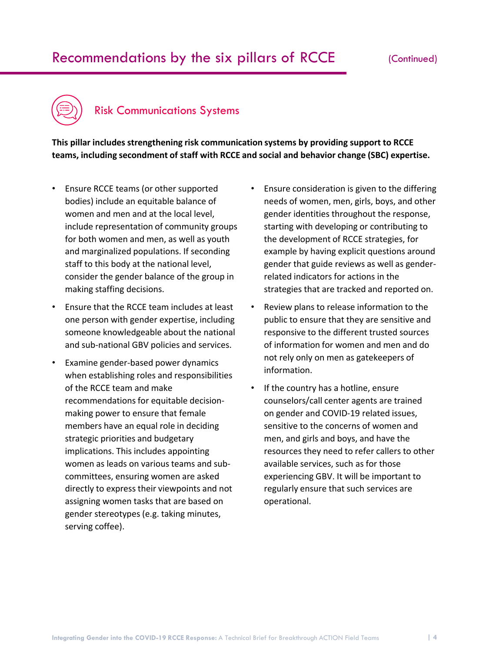# Recommendations by the six pillars of RCCE



### Risk Communications Systems

**This pillar includes strengthening risk communication systems by providing support to RCCE teams, including secondment of staff with RCCE and social and behavior change (SBC) expertise.** 

- Ensure RCCE teams (or other supported bodies) include an equitable balance of women and men and at the local level, include representation of community groups for both women and men, as well as youth and marginalized populations. If seconding staff to this body at the national level, consider the gender balance of the group in making staffing decisions.
- Ensure that the RCCE team includes at least one person with gender expertise, including someone knowledgeable about the national and sub-national GBV policies and services.
- Examine gender-based power dynamics when establishing roles and responsibilities of the RCCE team and make recommendations for equitable decisionmaking power to ensure that female members have an equal role in deciding strategic priorities and budgetary implications. This includes appointing women as leads on various teams and subcommittees, ensuring women are asked directly to express their viewpoints and not assigning women tasks that are based on gender stereotypes (e.g. taking minutes, serving coffee).
- Ensure consideration is given to the differing needs of women, men, girls, boys, and other gender identities throughout the response, starting with developing or contributing to the development of RCCE strategies, for example by having explicit questions around gender that guide reviews as well as genderrelated indicators for actions in the strategies that are tracked and reported on.
- Review plans to release information to the public to ensure that they are sensitive and responsive to the different trusted sources of information for women and men and do not rely only on men as gatekeepers of information.
- If the country has a hotline, ensure counselors/call center agents are trained on gender and COVID-19 related issues, sensitive to the concerns of women and men, and girls and boys, and have the resources they need to refer callers to other available services, such as for those experiencing GBV. It will be important to regularly ensure that such services are operational.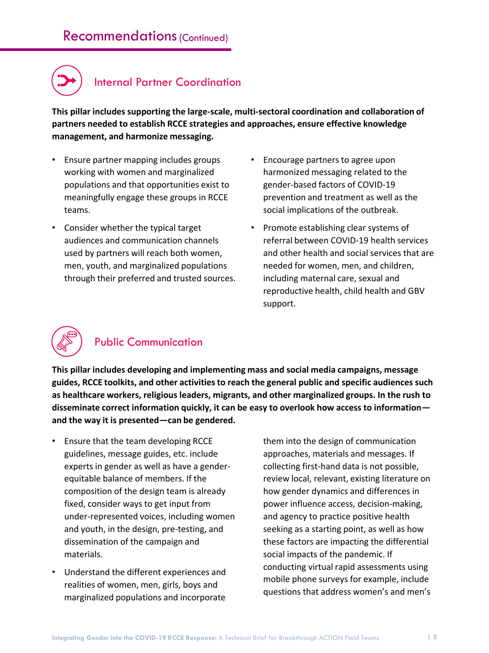# Recommendations (Continued)



**This pillar includes supporting the large-scale, multi-sectoral coordination and collaboration of partners needed to establish RCCE strategies and approaches, ensure effective knowledge management, and harmonize messaging.**

- Ensure partner mapping includes groups working with women and marginalized populations and that opportunities exist to meaningfully engage these groups in RCCE teams.
- Consider whether the typical target audiences and communication channels used by partners will reach both women, men, youth, and marginalized populations through their preferred and trusted sources.
- Encourage partners to agree upon harmonized messaging related to the gender-based factors of COVID-19 prevention and treatment as well as the social implications of the outbreak.
- Promote establishing clear systems of referral between COVID-19 health services and other health and social services that are needed for women, men, and children, including maternal care, sexual and reproductive health, child health and GBV support.



## Public Communication

**This pillar includes developing and implementing mass and social media campaigns, message guides, RCCE toolkits, and other activities to reach the general public and specific audiences such as healthcare workers, religious leaders, migrants, and other marginalized groups. In the rush to disseminate correct information quickly, it can be easy to overlook how access to information and the way it is presented—can be gendered.** 

- Ensure that the team developing RCCE guidelines, message guides, etc. include experts in gender as well as have a genderequitable balance of members. If the composition of the design team is already fixed, consider ways to get input from under-represented voices, including women and youth, in the design, pre-testing, and dissemination of the campaign and materials.
- Understand the different experiences and realities of women, men, girls, boys and marginalized populations and incorporate

them into the design of communication approaches, materials and messages. If collecting first-hand data is not possible, review local, relevant, existing literature on how gender dynamics and differences in power influence access, decision-making, and agency to practice positive health seeking as a starting point, as well as how these factors are impacting the differential social impacts of the pandemic. If conducting virtual rapid assessments using mobile phone surveys for example, include questions that address women's and men's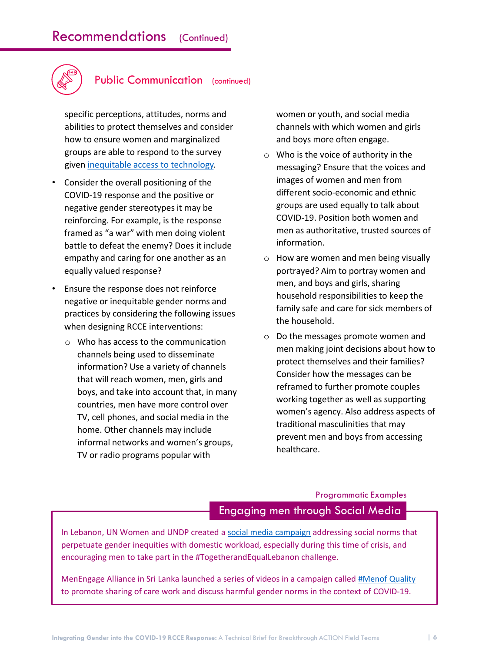

#### Public Communication (continued)

specific perceptions, attitudes, norms and abilities to protect themselves and consider how to ensure women and marginalized groups are able to respond to the survey given [inequitable access to technology.](https://mailchi.mp/3ieimpact/new-blog-phone-surveys-in-developing-countries-need-an-abundance-of-caution?e=7769dc11b2)

- Consider the overall positioning of the COVID-19 response and the positive or negative gender stereotypes it may be reinforcing. For example, is the response framed as "a war" with men doing violent battle to defeat the enemy? Does it include empathy and caring for one another as an equally valued response?
- Ensure the response does not reinforce negative or inequitable gender norms and practices by considering the following issues when designing RCCE interventions:
	- o Who has access to the communication channels being used to disseminate information? Use a variety of channels that will reach women, men, girls and boys, and take into account that, in many countries, men have more control over TV, cell phones, and social media in the home. Other channels may include informal networks and women's groups, TV or radio programs popular with

women or youth, and social media channels with which women and girls and boys more often engage.

- o Who is the voice of authority in the messaging? Ensure that the voices and images of women and men from different socio-economic and ethnic groups are used equally to talk about COVID-19. Position both women and men as authoritative, trusted sources of information.
- o How are women and men being visually portrayed? Aim to portray women and men, and boys and girls, sharing household responsibilities to keep the family safe and care for sick members of the household.
- o Do the messages promote women and men making joint decisions about how to protect themselves and their families? Consider how the messages can be reframed to further promote couples working together as well as supporting women's agency. Also address aspects of traditional masculinities that may prevent men and boys from accessing healthcare.

### Engaging men through Social Media Programmatic Examples

In Lebanon, UN Women and UNDP created a [social media campaign](https://www.lb.undp.org/content/lebanon/en/home/presscenter/pressreleases/pr06-5.html) addressing social norms that perpetuate gender inequities with domestic workload, especially during this time of crisis, and encouraging men to take part in the #TogetherandEqualLebanon challenge.

MenEngage Alliance in Sri Lanka launched a series of videos in a campaign called [#Menof Quality](https://www.facebook.com/MenengageSL/videos/) to promote sharing of care work and discuss harmful gender norms in the context of COVID-19.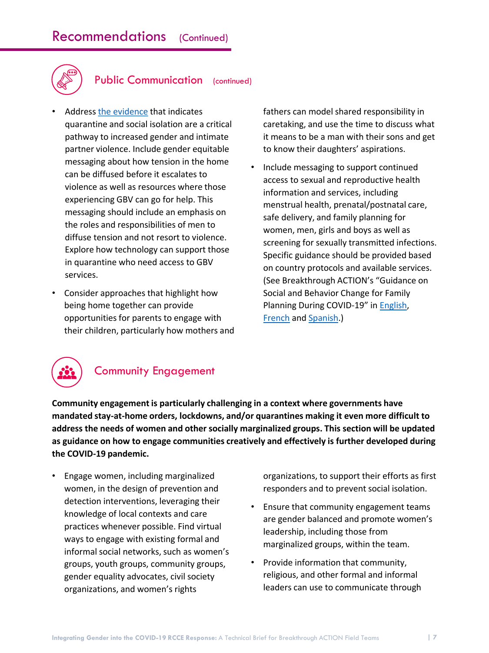

### Public Communication (continued)

- Address [the evidence](https://www.cgdev.org/sites/default/files/pandemics-and-vawg.pdf) that indicates quarantine and social isolation are a critical pathway to increased gender and intimate partner violence. Include gender equitable messaging about how tension in the home can be diffused before it escalates to violence as well as resources where those experiencing GBV can go for help. This messaging should include an emphasis on the roles and responsibilities of men to diffuse tension and not resort to violence. Explore how technology can support those in quarantine who need access to GBV services.
- Consider approaches that highlight how being home together can provide opportunities for parents to engage with their children, particularly how mothers and

fathers can model shared responsibility in caretaking, and use the time to discuss what it means to be a man with their sons and get to know their daughters' aspirations.

• Include messaging to support continued access to sexual and reproductive health information and services, including menstrual health, prenatal/postnatal care, safe delivery, and family planning for women, men, girls and boys as well as screening for sexually transmitted infections. Specific guidance should be provided based on country protocols and available services. (See Breakthrough ACTION's "Guidance on Social and Behavior Change for Family Planning During COVID-19" in [English,](https://covid19communicationnetwork.org/wp-content/uploads/2020/05/Guidance-on-SBC-for-FP-During-COVID-19-EN_v1.1.pdf) [French](https://covid19communicationnetwork.org/wp-content/uploads/2020/05/Guidance-on-SBC-for-FP-During-COVID-19-FR_v1.1.pdf) and [Spanish.](https://covid19communicationnetwork.org/wp-content/uploads/2020/04/familyPlanningEs.pdf))



### Community Engagement

**Community engagement is particularly challenging in a context where governments have mandated stay-at-home orders, lockdowns, and/or quarantines making it even more difficult to address the needs of women and other socially marginalized groups. This section will be updated as guidance on how to engage communities creatively and effectively is further developed during the COVID-19 pandemic.**

• Engage women, including marginalized women, in the design of prevention and detection interventions, leveraging their knowledge of local contexts and care practices whenever possible. Find virtual ways to engage with existing formal and informal social networks, such as women's groups, youth groups, community groups, gender equality advocates, civil society organizations, and women's rights

organizations, to support their efforts as first responders and to prevent social isolation.

- Ensure that community engagement teams are gender balanced and promote women's leadership, including those from marginalized groups, within the team.
- Provide information that community, religious, and other formal and informal leaders can use to communicate through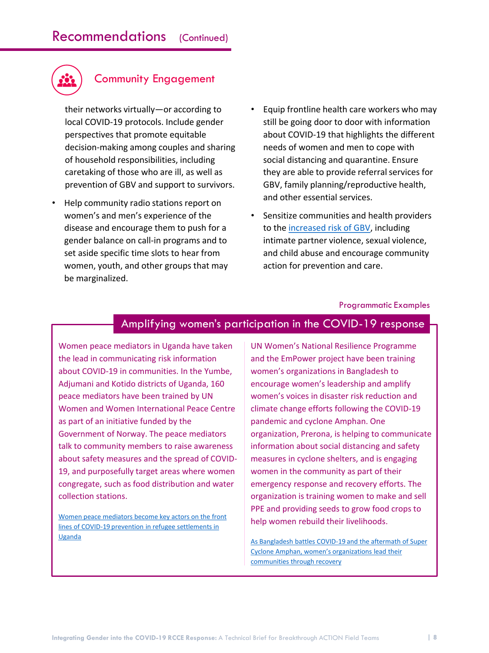

### Community Engagement

their networks virtually—or according to local COVID-19 protocols. Include gender perspectives that promote equitable decision-making among couples and sharing of household responsibilities, including caretaking of those who are ill, as well as prevention of GBV and support to survivors.

- Help community radio stations report on women's and men's experience of the disease and encourage them to push for a gender balance on call-in programs and to set aside specific time slots to hear from women, youth, and other groups that may be marginalized.
- Equip frontline health care workers who may still be going door to door with information about COVID-19 that highlights the different needs of women and men to cope with social distancing and quarantine. Ensure they are able to provide referral services for GBV, family planning/reproductive health, and other essential services.
- Sensitize communities and health providers to the [increased risk of GBV](https://www.cgdev.org/sites/default/files/pandemics-and-vawg.pdf), including intimate partner violence, sexual violence, and child abuse and encourage community action for prevention and care.

#### Programmatic Examples

#### Amplifying women's participation in the COVID-19 response

Women peace mediators in Uganda have taken the lead in communicating risk information about COVID-19 in communities. In the Yumbe, Adjumani and Kotido districts of Uganda, 160 peace mediators have been trained by UN Women and Women International Peace Centre as part of an initiative funded by the Government of Norway. The peace mediators talk to community members to raise awareness about safety measures and the spread of COVID-19, and purposefully target areas where women congregate, such as food distribution and water collection stations.

Women peace mediators become key actors on the front [lines of COVID-19 prevention in refugee settlements in](https://www.unwomen.org/en/news/stories/2020/6/feature-women-mediators-during-covid-19-in-refugee-settlements)  Uganda

UN Women's National Resilience Programme and the EmPower project have been training women's organizations in Bangladesh to encourage women's leadership and amplify women's voices in disaster risk reduction and climate change efforts following the COVID-19 pandemic and cyclone Amphan. One organization, Prerona, is helping to communicate information about social distancing and safety measures in cyclone shelters, and is engaging women in the community as part of their emergency response and recovery efforts. The organization is training women to make and sell PPE and providing seeds to grow food crops to help women rebuild their livelihoods.

[As Bangladesh battles COVID-19 and the aftermath of Super](https://www.unwomen.org/en/news/stories/2020/6/feature-bangladesh-womens-organizations-in-covid-19-and-cyclone-recovery)  Cyclone Amphan, women's organizations lead their communities through recovery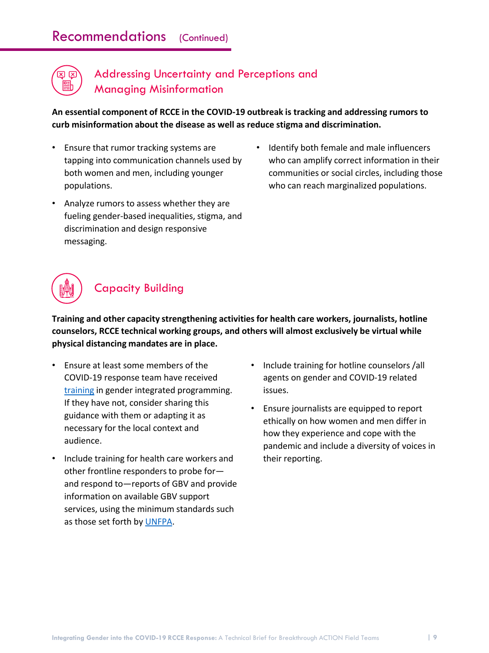# Recommendations (Continued)



### Addressing Uncertainty and Perceptions and Managing Misinformation

**An essential component of RCCE in the COVID-19 outbreak is tracking and addressing rumors to curb misinformation about the disease as well as reduce stigma and discrimination.** 

- Ensure that rumor tracking systems are tapping into communication channels used by both women and men, including younger populations.
- Analyze rumors to assess whether they are fueling gender-based inequalities, stigma, and discrimination and design responsive messaging.
- Identify both female and male influencers who can amplify correct information in their communities or social circles, including those who can reach marginalized populations.



**Training and other capacity strengthening activities for health care workers, journalists, hotline counselors, RCCE technical working groups, and others will almost exclusively be virtual while physical distancing mandates are in place.** 

- Ensure at least some members of the COVID-19 response team have received [training](https://www.igwg.org/training/) in gender integrated programming. If they have not, consider sharing this guidance with them or adapting it as necessary for the local context and audience.
- Include training for health care workers and other frontline responders to probe for and respond to—reports of GBV and provide information on available GBV support services, using the minimum standards such as those set forth by [UNFPA](https://www.unfpa.org/sites/default/files/pub-pdf/GBVIE.Minimum.Standards.Publication.FINAL_.ENG_.pdf).
- Include training for hotline counselors /all agents on gender and COVID-19 related issues.
- Ensure journalists are equipped to report ethically on how women and men differ in how they experience and cope with the pandemic and include a diversity of voices in their reporting.